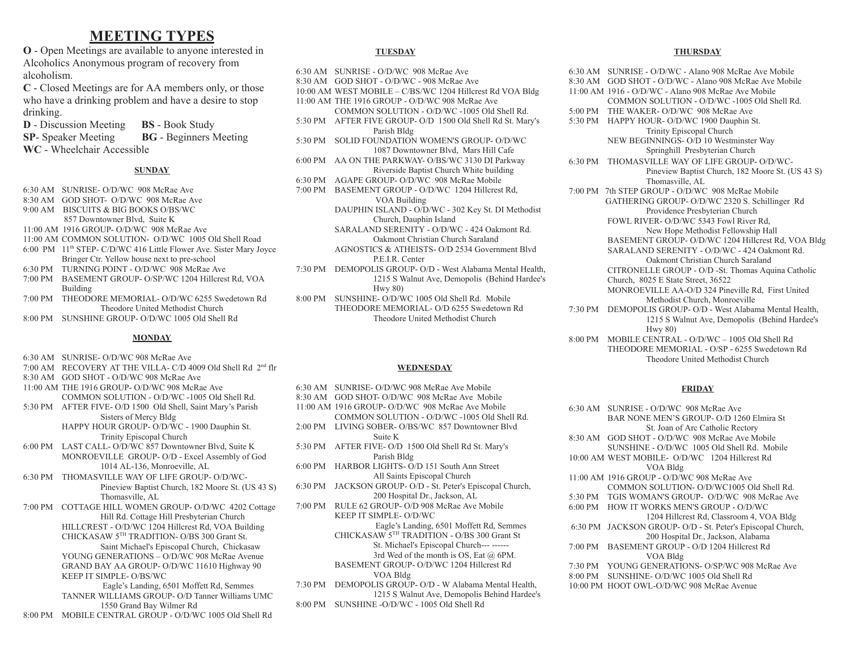# **MEETING TYPES**

**O** - Open Meetings are available to anyone interested in Alcoholics Anonymous program of recovery from alcoholism.

**C** - Closed Meetings are for AA members only, or those who have a drinking problem and have a desire to stop drinking.

**D** - Discussion Meeting **BS** - Book Study **SP**- Speaker Meeting **BG** - Beginners Meeting

**WC** - Wheelchair Accessible

#### **SUNDAY**

- 6:30 AM SUNRISE- O/D/WC 908 McRae Ave
- 8:30 AM GOD SHOT- O/D/WC 908 McRae Ave
- 9:00 AM BISCUITS & BIG BOOKS O/BS/WC
- 857 Downtowner Blvd, Suite K
- 11:00 AM 1916 GROUP- O/D/WC 908 McRae Ave
- 11:00 AM COMMON SOLUTION- O/D/WC 1005 Old Shell Road
- 6:00 PM 11<sup>th</sup> STEP- C/D/WC 416 Little Flower Ave. Sister Mary Joyce Bringer Ctr. Yellow house next to pre-school
- 6:30 PM TURNING POINT O/D/WC 908 McRae Ave
- 7:00 PM BASEMENT GROUP- O/SP/WC 1204 Hillcrest Rd, VOA Building
- 7:00 PM THEODORE MEMORIAL- O/D/WC 6255 Swedetown Rd Theodore United Methodist Church
- 8:00 PM SUNSHINE GROUP- O/D/WC 1005 Old Shell Rd

#### **MONDAY**

- 6:30 AM SUNRISE- O/D/WC 908 McRae Ave
- 7:00 AM RECOVERY AT THE VILLA- C/D 4009 Old Shell Rd 2<sup>nd</sup> flr
- 8:30 AM GOD SHOT O/D/WC 908 McRae Ave
- 11:00 AM THE 1916 GROUP- O/D/WC 908 McRae Ave COMMON SOLUTION - O/D/WC -1005 Old Shell Rd.
- 5:30 PM AFTER FIVE- O/D 1500 Old Shell, Saint Mary's Parish Sisters of Mercy Bldg HAPPY HOUR GROUP- O/D/WC - 1900 Dauphin St.
	- Trinity Episcopal Church
- 6:00 PM LAST CALL- O/D/WC 857 Downtowner Blvd, Suite K MONROEVILLE GROUP- O/D - Excel Assembly of God 1014 AL-136, Monroeville, AL
- 6:30 PM THOMASVILLE WAY OF LIFE GROUP- O/D/WC-Pineview Baptist Church, 182 Moore St. (US 43 S) Thomasville, AL
- 7:00 PM COTTAGE HILL WOMEN GROUP- O/D/WC 4202 Cottage Hill Rd. Cottage Hill Presbyterian Church HILLCREST - O/D/WC 1204 Hillcrest Rd, VOA Building CHICKASAW 5 TH TRADITION- O/BS 300 Grant St. Saint Michael's Episcopal Church, Chickasaw YOUNG GENERATIONS – O/D/WC 908 McRae Avenue GRAND BAY AA GROUP- O/D/WC 11610 Highway 90 KEEP IT SIMPLE- O/BS/WC
	- Eagle's Landing, 6501 Moffett Rd, Semmes TANNER WILLIAMS GROUP- O/D Tanner Williams UMC 1550 Grand Bay Wilmer Rd
- 8:00 PM MOBILE CENTRAL GROUP O/D/WC 1005 Old Shell Rd

#### **TUESDAY**

- 6:30 AM SUNRISE O/D/WC 908 McRae Ave
- 8:30 AM GOD SHOT O/D/WC 908 McRae Ave
- 10:00 AM WEST MOBILE C/BS/WC 1204 Hillcrest Rd VOA Bldg
- 11:00 AM THE 1916 GROUP O/D/WC 908 McRae Ave COMMON SOLUTION - O/D/WC -1005 Old Shell Rd.
- 5:30 PM AFTER FIVE GROUP- O/D 1500 Old Shell Rd St. Mary's Parish Bldg
- 5:30 PM SOLID FOUNDATION WOMEN'S GROUP- O/D/WC 1087 Downtowner Blvd, Mars Hill Cafe
- 6:00 PM AA ON THE PARKWAY- O/BS/WC 3130 DI Parkway Riverside Baptist Church White building
- 6:30 PM AGAPE GROUP- O/D/WC 908 McRae Mobile
- 7:00 PM BASEMENT GROUP O/D/WC 1204 Hillcrest Rd, VOA Building
	- DAUPHIN ISLAND O/D/WC 302 Key St. DI Methodist Church, Dauphin Island
		- SARALAND SERENITY O/D/WC 424 Oakmont Rd. Oakmont Christian Church Saraland AGNOSTICS & ATHEISTS- O/D 2534 Government Blvd
	- P.E.I.R. Center
- 7:30 PM DEMOPOLIS GROUP- O/D West Alabama Mental Health, 1215 S Walnut Ave, Demopolis (Behind Hardee's Hwy 80)
- 8:00 PM SUNSHINE- O/D/WC 1005 Old Shell Rd. Mobile THEODORE MEMORIAL- O/D 6255 Swedetown Rd Theodore United Methodist Church

#### **WEDNESDAY**

- 6:30 AM SUNRISE- O/D/WC 908 McRae Ave Mobile
- 8:30 AM GOD SHOT- O/D/WC 908 McRae Ave Mobile
- 11:00 AM 1916 GROUP- O/D/WC 908 McRae Ave Mobile COMMON SOLUTION - O/D/WC -1005 Old Shell Rd.
- 2:00 PM LIVING SOBER- O/BS/WC 857 Downtowner Blvd Suite K
- 5:30 PM AFTER FIVE- O/D 1500 Old Shell Rd St. Mary's Parish Bldg
- 6:00 PM HARBOR LIGHTS- O/D 151 South Ann Street All Saints Episcopal Church
- 6:30 PM JACKSON GROUP- O/D St. Peter's Episcopal Church, 200 Hospital Dr., Jackson, AL
- 7:00 PM RULE 62 GROUP- O/D 908 McRae Ave Mobile KEEP IT SIMPLE- O/D/WC
	- Eagle's Landing, 6501 Moffett Rd, Semmes CHICKASAW 5 TH TRADITION - O/BS 300 Grant St St. Michael's Episcopal Church--- ------ 3rd Wed of the month is OS, Eat @ 6PM. BASEMENT GROUP- O/D/WC 1204 Hillcrest Rd VOA Bldg
- 7:30 PM DEMOPOLIS GROUP- O/D W Alabama Mental Health, 1215 S Walnut Ave, Demopolis Behind Hardee's

8:00 PM SUNSHINE -O/D/WC - 1005 Old Shell Rd

#### **THURSDAY**

6:30 AM SUNRISE - O/D/WC - Alano 908 McRae Ave Mobile 8:30 AM GOD SHOT - O/D/WC - Alano 908 McRae Ave Mobile 11:00 AM 1916 - O/D/WC - Alano 908 McRae Ave Mobile COMMON SOLUTION - O/D/WC -1005 Old Shell Rd. 5:00 PM THE WAKER- O/D/WC 908 McRae Ave 5:30 PM HAPPY HOUR- O/D/WC 1900 Dauphin St. Trinity Episcopal Church NEW BEGINNINGS- O/D 10 Westminster Way Springhill Presbyterian Church 6:30 PM THOMASVILLE WAY OF LIFE GROUP- O/D/WC-Pineview Baptist Church, 182 Moore St. (US 43 S) Thomasville, AL 7:00 PM 7th STEP GROUP - O/D/WC 908 McRae Mobile GATHERING GROUP- O/D/WC 2320 S. Schillinger Rd Providence Presbyterian Church FOWL RIVER- O/D/WC 5343 Fowl River Rd, New Hope Methodist Fellowship Hall BASEMENT GROUP- O/D/WC 1204 Hillcrest Rd, VOA Bldg SARALAND SERENITY - O/D/WC - 424 Oakmont Rd. Oakmont Christian Church Saraland CITRONELLE GROUP - O/D -St. Thomas Aquina Catholic Church, 8025 E State Street, 36522 MONROEVILLE AA-O/D 324 Pineville Rd, First United Methodist Church, Monroeville 7:30 PM DEMOPOLIS GROUP- O/D - West Alabama Mental Health, 1215 S Walnut Ave, Demopolis (Behind Hardee's Hwy 80) 8:00 PM MOBILE CENTRAL - O/D/WC – 1005 Old Shell Rd THEODORE MEMORIAL - O/SP - 6255 Swedetown Rd

Theodore United Methodist Church

#### **FRIDAY**

6:30 AM SUNRISE - O/D/WC 908 McRae Ave BAR NONE MEN'S GROUP- O/D 1260 Elmira St St. Joan of Arc Catholic Rectory 8:30 AM GOD SHOT - O/D/WC 908 McRae Ave Mobile SUNSHINE - O/D/WC 1005 Old Shell Rd. Mobile 10:00 AM WEST MOBILE- O/D/WC 1204 Hillcrest Rd VOA Bldg 11:00 AM 1916 GROUP - O/D/WC 908 McRae Ave COMMON SOLUTION- O/D/WC1005 Old Shell Rd. 5:30 PM TGIS WOMAN'S GROUP- O/D/WC 908 McRae Ave 6:00 PM HOW IT WORKS MEN'S GROUP - O/D/WC 1204 Hillcrest Rd, Classroom 4, VOA Bldg 6:30 PM JACKSON GROUP- O/D - St. Peter's Episcopal Church, 200 Hospital Dr., Jackson, Alabama 7:00 PM BASEMENT GROUP - O/D 1204 Hillcrest Rd VOA Bldg 7:30 PM YOUNG GENERATIONS- O/SP/WC 908 McRae Ave 8:00 PM SUNSHINE- O/D/WC 1005 Old Shell Rd 10:00 PM HOOT OWL-O/D/WC 908 McRae Avenue